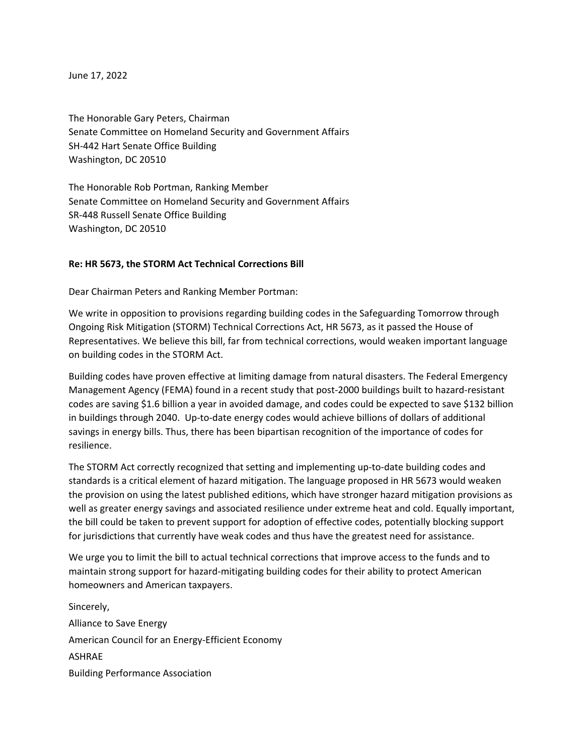June 17, 2022

The Honorable Gary Peters, Chairman Senate Committee on Homeland Security and Government Affairs SH-442 Hart Senate Office Building Washington, DC 20510

The Honorable Rob Portman, Ranking Member Senate Committee on Homeland Security and Government Affairs SR-448 Russell Senate Office Building Washington, DC 20510

## **Re: HR 5673, the STORM Act Technical Corrections Bill**

Dear Chairman Peters and Ranking Member Portman:

We write in opposition to provisions regarding building codes in the Safeguarding Tomorrow through Ongoing Risk Mitigation (STORM) Technical Corrections Act, HR 5673, as it passed the House of Representatives. We believe this bill, far from technical corrections, would weaken important language on building codes in the STORM Act.

Building codes have proven effective at limiting damage from natural disasters. The Federal Emergency Management Agency (FEMA) found in a recent study that post-2000 buildings built to hazard-resistant codes are saving \$1.6 billion a year in avoided damage, and codes could be expected to save \$132 billion in buildings through 2040. Up-to-date energy codes would achieve billions of dollars of additional savings in energy bills. Thus, there has been bipartisan recognition of the importance of codes for resilience.

The STORM Act correctly recognized that setting and implementing up-to-date building codes and standards is a critical element of hazard mitigation. The language proposed in HR 5673 would weaken the provision on using the latest published editions, which have stronger hazard mitigation provisions as well as greater energy savings and associated resilience under extreme heat and cold. Equally important, the bill could be taken to prevent support for adoption of effective codes, potentially blocking support for jurisdictions that currently have weak codes and thus have the greatest need for assistance.

We urge you to limit the bill to actual technical corrections that improve access to the funds and to maintain strong support for hazard-mitigating building codes for their ability to protect American homeowners and American taxpayers.

Sincerely, Alliance to Save Energy American Council for an Energy-Efficient Economy ASHRAE Building Performance Association